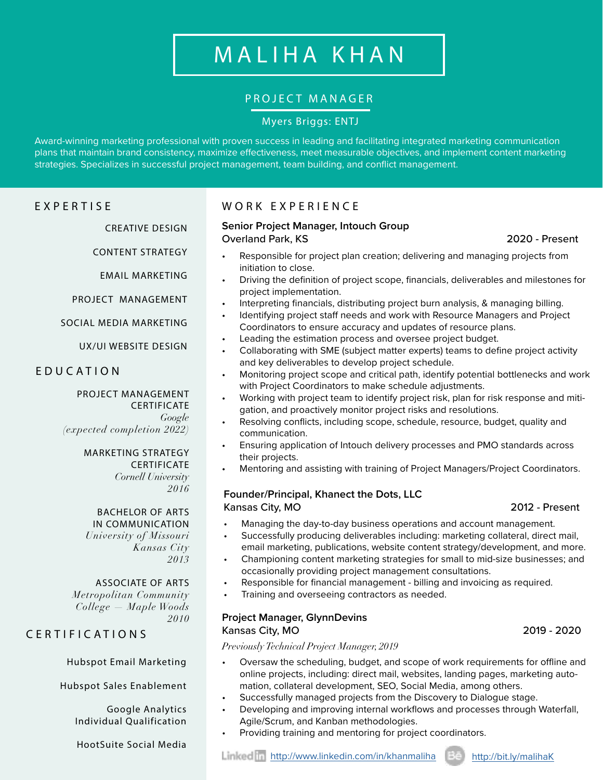# MALIHA KHAN

# PROJECT MANAGER

# Myers Briggs: ENTJ

Award-winning marketing professional with proven success in leading and facilitating integrated marketing communication plans that maintain brand consistency, maximize effectiveness, meet measurable objectives, and implement content marketing strategies. Specializes in successful project management, team building, and conflict management.

# EXPERTISE

CREATIVE DESIGN

CONTENT STRATEGY

EMAIL MARKETING

PROJECT MANAGEMENT

SOCIAL MEDIA MARKETING

UX/UI WEBSITE DESIGN

# EDUCATION

#### PROJECT MANAGEMENT **CERTIFICATE** *Google (expected completion 2022)*

MARKETING STRATEGY CERTIFICATE *Cornell University*

*2016*

BACHELOR OF ARTS IN COMMUNICATION *University of Missouri* 

*Kansas City 2013*

### ASSOCIATE OF ARTS

*Metropolitan Community College — Maple Woods 2010*

# CERTIFICATIONS

Hubspot Email Marketing

Hubspot Sales Enablement

Google Analytics Individual Qualification

HootSuite Social Media

# WORK EXPERIENCE

#### **Senior Project Manager, Intouch Group**  Overland Park, KS 2020 - Present

- Responsible for project plan creation; delivering and managing projects from initiation to close.
- Driving the definition of project scope, financials, deliverables and milestones for project implementation.
- Interpreting financials, distributing project burn analysis, & managing billing.
- Identifying project staff needs and work with Resource Managers and Project Coordinators to ensure accuracy and updates of resource plans.
- Leading the estimation process and oversee project budget.
- Collaborating with SME (subject matter experts) teams to define project activity and key deliverables to develop project schedule.
- Monitoring project scope and critical path, identify potential bottlenecks and work with Project Coordinators to make schedule adjustments.
- Working with project team to identify project risk, plan for risk response and mitigation, and proactively monitor project risks and resolutions.
- Resolving conflicts, including scope, schedule, resource, budget, quality and communication.
- Ensuring application of Intouch delivery processes and PMO standards across their projects.
- Mentoring and assisting with training of Project Managers/Project Coordinators.

### **Founder/Principal, Khanect the Dots, LLC**  Kansas City, MO 2012 - Present

- Managing the day-to-day business operations and account management.
- Successfully producing deliverables including: marketing collateral, direct mail, email marketing, publications, website content strategy/development, and more.
- Championing content marketing strategies for small to mid-size businesses; and occasionally providing project management consultations.
- Responsible for financial management billing and invoicing as required.
- Training and overseeing contractors as needed.

# **Project Manager, GlynnDevins**

#### Kansas City, MO 2019 - 2020

*Previously Technical Project Manager, 2019*

- Oversaw the scheduling, budget, and scope of work requirements for offline and online projects, including: direct mail, websites, landing pages, marketing automation, collateral development, SEO, Social Media, among others.
- Successfully managed projects from the Discovery to Dialogue stage.
- Developing and improving internal workflows and processes through Waterfall, Agile/Scrum, and Kanban methodologies.
- Providing training and mentoring for project coordinators.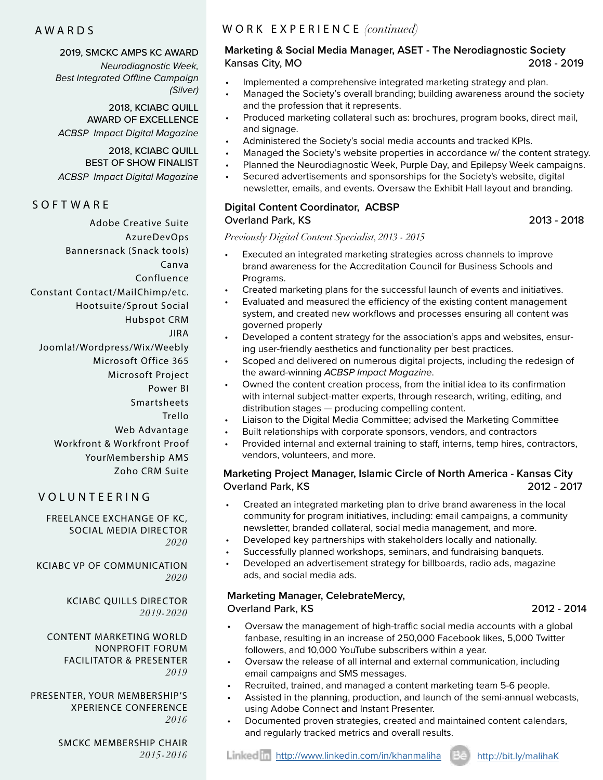#### AWARDS

#### 2019, SMCKC AMPS KC AWARD

*Neurodiagnostic Week, Best Integrated Offline Campaign (Silver)* 

2018, KCIABC QUILL AWARD OF EXCELLENCE *ACBSP Impact Digital Magazine*

#### 2018, KCIABC QUILL BEST OF SHOW FINALIST

*ACBSP Impact Digital Magazine*

## **SOFTWARE**

Adobe Creative Suite AzureDevOps Bannersnack (Snack tools) Canva Confluence Constant Contact/MailChimp/etc. Hootsuite/Sprout Social Hubspot CRM JIRA Joomla!/Wordpress/Wix/Weebly Microsoft Office 365 Microsoft Project Power BI Smartsheets Trello Web Advantage Workfront & Workfront Proof YourMembership AMS Zoho CRM Suite

# VOLUNTEERING

FREELANCE EXCHANGE OF KC, SOCIAL MEDIA DIRECTOR *2020*

KCIABC VP OF COMMUNICATION *2020*

> KCIABC QUILLS DIRECTOR *2019-2020*

CONTENT MARKETING WORLD NONPROFIT FORUM FACILITATOR & PRESENTER *2019*

PRESENTER, YOUR MEMBERSHIP'S XPERIENCE CONFERENCE *2016*

> SMCKC MEMBERSHIP CHAIR *2015-2016*

# WORK EXPERIENCE *(continued)*

# **Marketing & Social Media Manager, ASET - The Nerodiagnostic Society**  Kansas City, MO 2018 - 2019

- Implemented a comprehensive integrated marketing strategy and plan.
- Managed the Society's overall branding; building awareness around the society and the profession that it represents.
- Produced marketing collateral such as: brochures, program books, direct mail, and signage.
- Administered the Society's social media accounts and tracked KPIs.
- Managed the Society's website properties in accordance w/ the content strategy.
- Planned the Neurodiagnostic Week, Purple Day, and Epilepsy Week campaigns.
- Secured advertisements and sponsorships for the Society's website, digital newsletter, emails, and events. Oversaw the Exhibit Hall layout and branding.

#### **Digital Content Coordinator, ACBSP** Overland Park, KS 2013 - 2018

*Previously Digital Content Specialist, 2013 - 2015*

- Executed an integrated marketing strategies across channels to improve brand awareness for the Accreditation Council for Business Schools and Programs.
- Created marketing plans for the successful launch of events and initiatives.
- Evaluated and measured the efficiency of the existing content management system, and created new workflows and processes ensuring all content was governed properly
- Developed a content strategy for the association's apps and websites, ensuring user-friendly aesthetics and functionality per best practices.
- Scoped and delivered on numerous digital projects, including the redesign of the award-winning *ACBSP Impact Magazine*.
- Owned the content creation process, from the initial idea to its confirmation with internal subject-matter experts, through research, writing, editing, and distribution stages — producing compelling content.
	- Liaison to the Digital Media Committee; advised the Marketing Committee
- Built relationships with corporate sponsors, vendors, and contractors
- Provided internal and external training to staff, interns, temp hires, contractors, vendors, volunteers, and more.

#### **Marketing Project Manager, Islamic Circle of North America - Kansas City** Overland Park, KS 2012 - 2017

- Created an integrated marketing plan to drive brand awareness in the local community for program initiatives, including: email campaigns, a community newsletter, branded collateral, social media management, and more.
- Developed key partnerships with stakeholders locally and nationally.
- Successfully planned workshops, seminars, and fundraising banquets.
- Developed an advertisement strategy for billboards, radio ads, magazine ads, and social media ads.

### **Marketing Manager, CelebrateMercy,**

#### Overland Park, KS 2012 - 2014

- Oversaw the management of high-traffic social media accounts with a global fanbase, resulting in an increase of 250,000 Facebook likes, 5,000 Twitter followers, and 10,000 YouTube subscribers within a year.
- Oversaw the release of all internal and external communication, including email campaigns and SMS messages.
- Recruited, trained, and managed a content marketing team 5-6 people.
- Assisted in the planning, production, and launch of the semi-annual webcasts, using Adobe Connect and Instant Presenter.
- Documented proven strategies, created and maintained content calendars, and regularly tracked metrics and overall results.